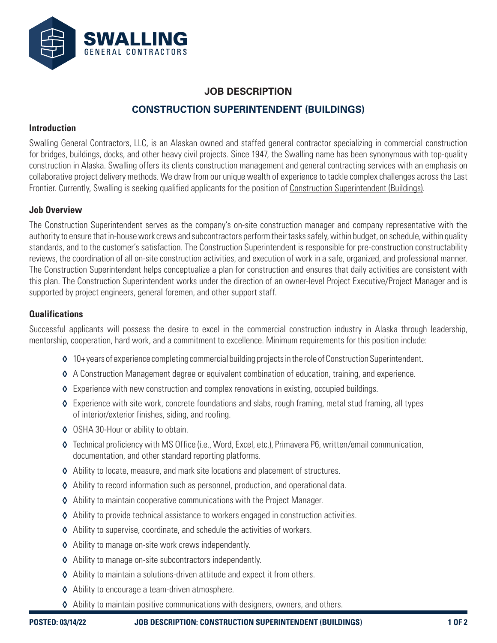

# **JOB DESCRIPTION CONSTRUCTION SUPERINTENDENT (BUILDINGS)**

#### **Introduction**

Swalling General Contractors, LLC, is an Alaskan owned and staffed general contractor specializing in commercial construction for bridges, buildings, docks, and other heavy civil projects. Since 1947, the Swalling name has been synonymous with top-quality construction in Alaska. Swalling offers its clients construction management and general contracting services with an emphasis on collaborative project delivery methods. We draw from our unique wealth of experience to tackle complex challenges across the Last Frontier. Currently, Swalling is seeking qualified applicants for the position of Construction Superintendent (Buildings).

#### **Job Overview**

The Construction Superintendent serves as the company's on-site construction manager and company representative with the authority to ensure that in-house work crews and subcontractors perform their tasks safely, within budget, on schedule, within quality standards, and to the customer's satisfaction. The Construction Superintendent is responsible for pre-construction constructability reviews, the coordination of all on-site construction activities, and execution of work in a safe, organized, and professional manner. The Construction Superintendent helps conceptualize a plan for construction and ensures that daily activities are consistent with this plan. The Construction Superintendent works under the direction of an owner-level Project Executive/Project Manager and is supported by project engineers, general foremen, and other support staff.

#### **Qualifications**

Successful applicants will possess the desire to excel in the commercial construction industry in Alaska through leadership, mentorship, cooperation, hard work, and a commitment to excellence. Minimum requirements for this position include:

- ◊ 10+ years of experience completing commercial building projects in the role of Construction Superintendent.
- ◊ A Construction Management degree or equivalent combination of education, training, and experience.
- ◊ Experience with new construction and complex renovations in existing, occupied buildings.
- ◊ Experience with site work, concrete foundations and slabs, rough framing, metal stud framing, all types of interior/exterior finishes, siding, and roofing.
- ◊ OSHA 30-Hour or ability to obtain.
- ◊ Technical proficiency with MS Office (i.e., Word, Excel, etc.), Primavera P6, written/email communication, documentation, and other standard reporting platforms.
- ◊ Ability to locate, measure, and mark site locations and placement of structures.
- ◊ Ability to record information such as personnel, production, and operational data.
- ◊ Ability to maintain cooperative communications with the Project Manager.
- ◊ Ability to provide technical assistance to workers engaged in construction activities.
- ◊ Ability to supervise, coordinate, and schedule the activities of workers.
- ◊ Ability to manage on-site work crews independently.
- ◊ Ability to manage on-site subcontractors independently.
- ◊ Ability to maintain a solutions-driven attitude and expect it from others.
- ◊ Ability to encourage a team-driven atmosphere.
- ◊ Ability to maintain positive communications with designers, owners, and others.